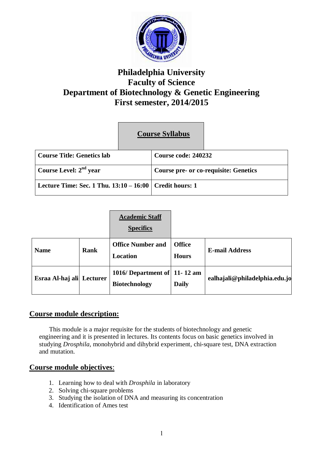

# **Philadelphia University Faculty of Science Department of Biotechnology & Genetic Engineering First semester, 2014/2015**

|                                                             | <b>Course Syllabus</b> |                                              |  |
|-------------------------------------------------------------|------------------------|----------------------------------------------|--|
| <b>Course Title: Genetics lab</b>                           |                        | Course code: 240232                          |  |
| Course Level: $2nd$ year                                    |                        | <b>Course pre- or co-requisite: Genetics</b> |  |
| Lecture Time: Sec. 1 Thu. $13:10 - 16:00$   Credit hours: 1 |                        |                                              |  |

|                           |      | <b>Academic Staff</b><br><b>Specifics</b>               |                               |                               |
|---------------------------|------|---------------------------------------------------------|-------------------------------|-------------------------------|
| <b>Name</b>               | Rank | <b>Office Number and</b><br><b>Location</b>             | <b>Office</b><br><b>Hours</b> | <b>E-mail Address</b>         |
| Esraa Al-haj ali Lecturer |      | 1016/ Department of $ 11-12$ am<br><b>Biotechnology</b> | <b>Daily</b>                  | ealhajali@philadelphia.edu.jo |

# **Course module description:**

 This module is a major requisite for the students of biotechnology and genetic engineering and it is presented in lectures. Its contents focus on basic genetics involved in studying *Drosphila*, monohybrid and dihybrid experiment, chi-square test, DNA extraction and mutation.

## **Course module objectives**:

- 1. Learning how to deal with *Drosphila* in laboratory
- 2. Solving chi-square problems
- 3. Studying the isolation of DNA and measuring its concentration
- 4. Identification of Ames test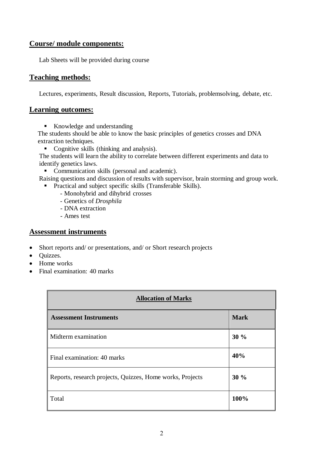# **Course/ module components:**

Lab Sheets will be provided during course

## **Teaching methods:**

Lectures, experiments, Result discussion, Reports, Tutorials, problemsolving, debate, etc.

#### **Learning outcomes:**

Knowledge and understanding

 The students should be able to know the basic principles of genetics crosses and DNA extraction techniques.

Cognitive skills (thinking and analysis).

The students will learn the ability to correlate between different experiments and data to identify genetics laws.

• Communication skills (personal and academic).

- Raising questions and discussion of results with supervisor, brain storming and group work.
- **•** Practical and subject specific skills (Transferable Skills).
	- Monohybrid and dihybrid crosses
	- Genetics of *Drosphila*
	- DNA extraction
	- Ames test

## **Assessment instruments**

- Short reports and/ or presentations, and/ or Short research projects
- Quizzes.
- Home works
- Final examination: 40 marks

| <b>Allocation of Marks</b>                                |             |  |  |
|-----------------------------------------------------------|-------------|--|--|
| <b>Assessment Instruments</b>                             | <b>Mark</b> |  |  |
| Midterm examination                                       | 30%         |  |  |
| Final examination: 40 marks                               | 40%         |  |  |
| Reports, research projects, Quizzes, Home works, Projects | 30%         |  |  |
| Total                                                     | 100%        |  |  |